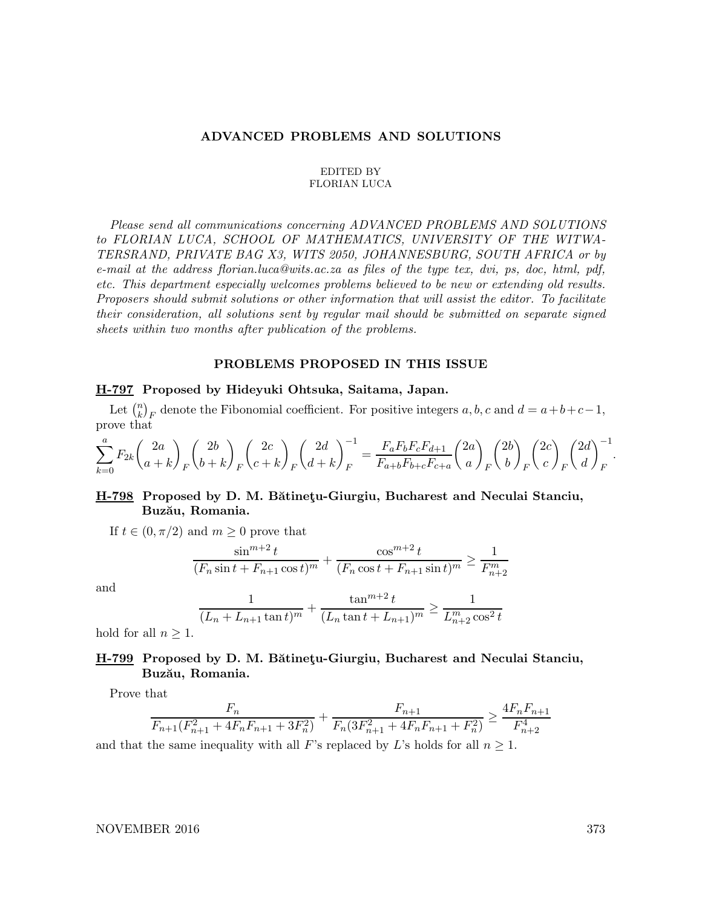### ADVANCED PROBLEMS AND SOLUTIONS

#### EDITED BY FLORIAN LUCA

Please send all communications concerning ADVANCED PROBLEMS AND SOLUTIONS to FLORIAN LUCA, SCHOOL OF MATHEMATICS, UNIVERSITY OF THE WITWA-TERSRAND, PRIVATE BAG X3, WITS 2050, JOHANNESBURG, SOUTH AFRICA or by e-mail at the address florian.luca@wits.ac.za as files of the type tex, dvi, ps, doc, html, pdf, etc. This department especially welcomes problems believed to be new or extending old results. Proposers should submit solutions or other information that will assist the editor. To facilitate their consideration, all solutions sent by regular mail should be submitted on separate signed sheets within two months after publication of the problems.

### PROBLEMS PROPOSED IN THIS ISSUE

#### H-797 Proposed by Hideyuki Ohtsuka, Saitama, Japan.

Let  $\binom{n}{k}$  ${k \choose k}_F$  denote the Fibonomial coefficient. For positive integers  $a, b, c$  and  $d = a+b+c-1$ , prove that

$$
\sum_{k=0}^{a} F_{2k} {2a \choose a+k}_F {2b \choose b+k}_F {2c \choose c+k}_F {2d \choose d+k}_F^{-1} = \frac{F_a F_b F_c F_{d+1}}{F_{a+b} F_{b+c} F_{c+a}} {2a \choose a}_F {2b \choose b}_F {2c \choose c}_F {2d \choose d}_F^{-1}.
$$

## H-798 Proposed by D. M. Bătinetu-Giurgiu, Bucharest and Neculai Stanciu, Buzău, Romania.

If  $t \in (0, \pi/2)$  and  $m \geq 0$  prove that

$$
\frac{\sin^{m+2}t}{(F_n \sin t + F_{n+1} \cos t)^m} + \frac{\cos^{m+2}t}{(F_n \cos t + F_{n+1} \sin t)^m} \ge \frac{1}{F_{n+2}^m}
$$

and

$$
\frac{1}{(L_n + L_{n+1} \tan t)^m} + \frac{\tan^{m+2} t}{(L_n \tan t + L_{n+1})^m} \ge \frac{1}{L_{n+2}^m \cos^2 t}
$$

hold for all  $n \geq 1$ .

## H-799 Proposed by D. M. Bătinetu-Giurgiu, Bucharest and Neculai Stanciu, Buzău, Romania.

Prove that

$$
\frac{F_n}{F_{n+1}(F_{n+1}^2 + 4F_nF_{n+1} + 3F_n^2)} + \frac{F_{n+1}}{F_n(3F_{n+1}^2 + 4F_nF_{n+1} + F_n^2)} \ge \frac{4F_nF_{n+1}}{F_{n+2}^4}
$$

and that the same inequality with all F's replaced by L's holds for all  $n \geq 1$ .

NOVEMBER 2016 373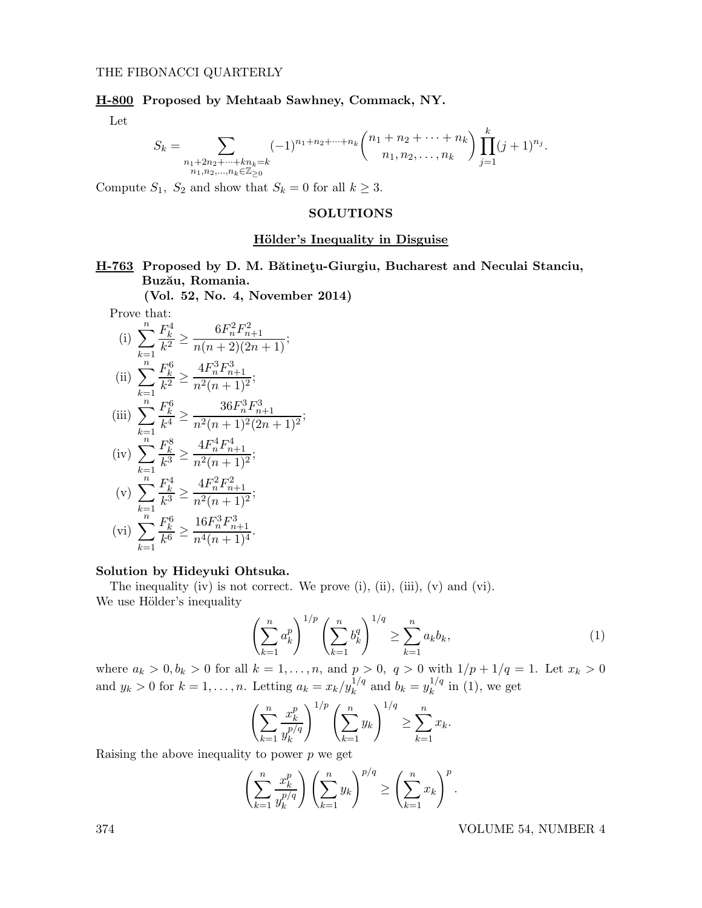## H-800 Proposed by Mehtaab Sawhney, Commack, NY.

Let

$$
S_k = \sum_{\substack{n_1 + 2n_2 + \dots + kn_k = k \\ n_1, n_2, \dots, n_k \in \mathbb{Z}_{\geq 0}}} (-1)^{n_1 + n_2 + \dots + n_k} {n_1 + n_2 + \dots + n_k \choose n_1, n_2, \dots, n_k} \prod_{j=1}^k (j+1)^{n_j}.
$$

Compute  $S_1$ ,  $S_2$  and show that  $S_k = 0$  for all  $k \geq 3$ .

#### SOLUTIONS

### Hölder's Inequality in Disguise

H-763 Proposed by D. M. Bătinetu-Giurgiu, Bucharest and Neculai Stanciu, Buzău, Romania.

(Vol. 52, No. 4, November 2014)

Prove that:

(i) 
$$
\sum_{k=1}^{n} \frac{F_k^4}{k^2} \ge \frac{6F_n^2 F_{n+1}^2}{n(n+2)(2n+1)};
$$
  
\n(ii) 
$$
\sum_{k=1}^{n} \frac{F_k^6}{k^2} \ge \frac{4F_n^3 F_{n+1}^3}{n^2(n+1)^2};
$$
  
\n(iii) 
$$
\sum_{k=1}^{n} \frac{F_k^6}{k^4} \ge \frac{36F_n^3 F_{n+1}^3}{n^2(n+1)^2(2n+1)^2};
$$
  
\n(iv) 
$$
\sum_{k=1}^{n} \frac{F_k^8}{k^3} \ge \frac{4F_n^4 F_{n+1}^4}{n^2(n+1)^2};
$$
  
\n(v) 
$$
\sum_{k=1}^{n} \frac{F_k^4}{k^3} \ge \frac{4F_n^2 F_{n+1}^2}{n^2(n+1)^2};
$$
  
\n(vi) 
$$
\sum_{k=1}^{n} \frac{F_k^6}{k^6} \ge \frac{16F_n^3 F_{n+1}^3}{n^4(n+1)^4}.
$$

#### Solution by Hideyuki Ohtsuka.

The inequality (iv) is not correct. We prove  $(i)$ ,  $(ii)$ ,  $(iii)$ ,  $(v)$  and  $(vi)$ . We use Hölder's inequality

$$
\left(\sum_{k=1}^{n} a_k^p\right)^{1/p} \left(\sum_{k=1}^{n} b_k^q\right)^{1/q} \ge \sum_{k=1}^{n} a_k b_k,
$$
\n(1)

where  $a_k > 0, b_k > 0$  for all  $k = 1, ..., n$ , and  $p > 0$ ,  $q > 0$  with  $1/p + 1/q = 1$ . Let  $x_k > 0$ and  $y_k > 0$  for  $k = 1, ..., n$ . Letting  $a_k = x_k / y_k^{1/q}$  and  $b_k = y_k^{1/q}$  $\int_k^{1/q}$  in (1), we get

$$
\left(\sum_{k=1}^n \frac{x_k^p}{y_k^{p/q}}\right)^{1/p} \left(\sum_{k=1}^n y_k\right)^{1/q} \ge \sum_{k=1}^n x_k.
$$

Raising the above inequality to power  $p$  we get

$$
\left(\sum_{k=1}^n \frac{x_k^p}{y_k^{p/q}}\right) \left(\sum_{k=1}^n y_k\right)^{p/q} \ge \left(\sum_{k=1}^n x_k\right)^p.
$$

374 VOLUME 54, NUMBER 4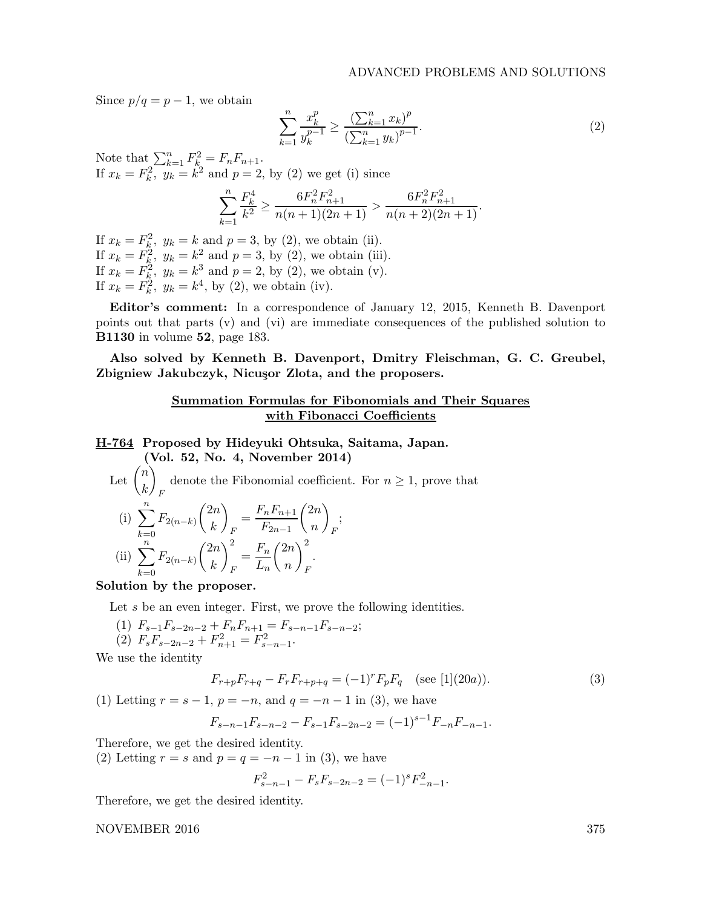Since  $p/q = p - 1$ , we obtain

$$
\sum_{k=1}^{n} \frac{x_k^p}{y_k^{p-1}} \ge \frac{\left(\sum_{k=1}^{n} x_k\right)^p}{\left(\sum_{k=1}^{n} y_k\right)^{p-1}}.\tag{2}
$$

Note that  $\sum_{k=1}^{n} F_{k}^{2} = F_{n}F_{n+1}$ . If  $x_k = F_k^2$ ,  $y_k = k^2$  and  $p = 2$ , by (2) we get (i) since

$$
\sum_{k=1}^{n} \frac{F_k^4}{k^2} \ge \frac{6F_n^2 F_{n+1}^2}{n(n+1)(2n+1)} > \frac{6F_n^2 F_{n+1}^2}{n(n+2)(2n+1)}.
$$

If  $x_k = F_k^2$ ,  $y_k = k$  and  $p = 3$ , by (2), we obtain (ii). If  $x_k = F_k^2$ ,  $y_k = k^2$  and  $p = 3$ , by (2), we obtain (iii). If  $x_k = F_k^2$ ,  $y_k = k^3$  and  $p = 2$ , by (2), we obtain (v). If  $x_k = F_k^2$ ,  $y_k = k^4$ , by (2), we obtain (iv).

Editor's comment: In a correspondence of January 12, 2015, Kenneth B. Davenport points out that parts (v) and (vi) are immediate consequences of the published solution to B1130 in volume 52, page 183.

Also solved by Kenneth B. Davenport, Dmitry Fleischman, G. C. Greubel, Zbigniew Jakubczyk, Nicuşor Zlota, and the proposers.

## Summation Formulas for Fibonomials and Their Squares with Fibonacci Coefficients

## H-764 Proposed by Hideyuki Ohtsuka, Saitama, Japan. (Vol. 52, No. 4, November 2014)

Let 
$$
\binom{n}{k}_F
$$
 denote the Fibonacci coefficient. For  $n \ge 1$ , prove that  
\n(i)  $\sum_{k=0}^n F_{2(n-k)} \binom{2n}{k}_F = \frac{F_n F_{n+1}}{F_{2n-1}} \binom{2n}{n}_F$ ;  
\n(ii)  $\sum_{k=0}^n F_{2(n-k)} \binom{2n}{k}_F^2 = \frac{F_n}{L_n} \binom{2n}{n}_F^2$ .

Solution by the proposer.

Let s be an even integer. First, we prove the following identities.

- (1)  $F_{s-1}F_{s-2n-2} + F_nF_{n+1} = F_{s-n-1}F_{s-n-2};$ (2)  $F_s F_{s-2n-2} + F_{n+1}^2 = F_{s-n-1}^2$ .
- 

We use the identity

$$
F_{r+p}F_{r+q} - F_r F_{r+p+q} = (-1)^r F_p F_q \quad \text{(see [1](20a))}.
$$
 (3)

(1) Letting  $r = s - 1$ ,  $p = -n$ , and  $q = -n - 1$  in (3), we have

$$
F_{s-n-1}F_{s-n-2} - F_{s-1}F_{s-2n-2} = (-1)^{s-1}F_{-n}F_{-n-1}.
$$

Therefore, we get the desired identity.

(2) Letting  $r = s$  and  $p = q = -n - 1$  in (3), we have

$$
F_{s-n-1}^2 - F_s F_{s-2n-2} = (-1)^s F_{-n-1}^2.
$$

Therefore, we get the desired identity.

NOVEMBER 2016 375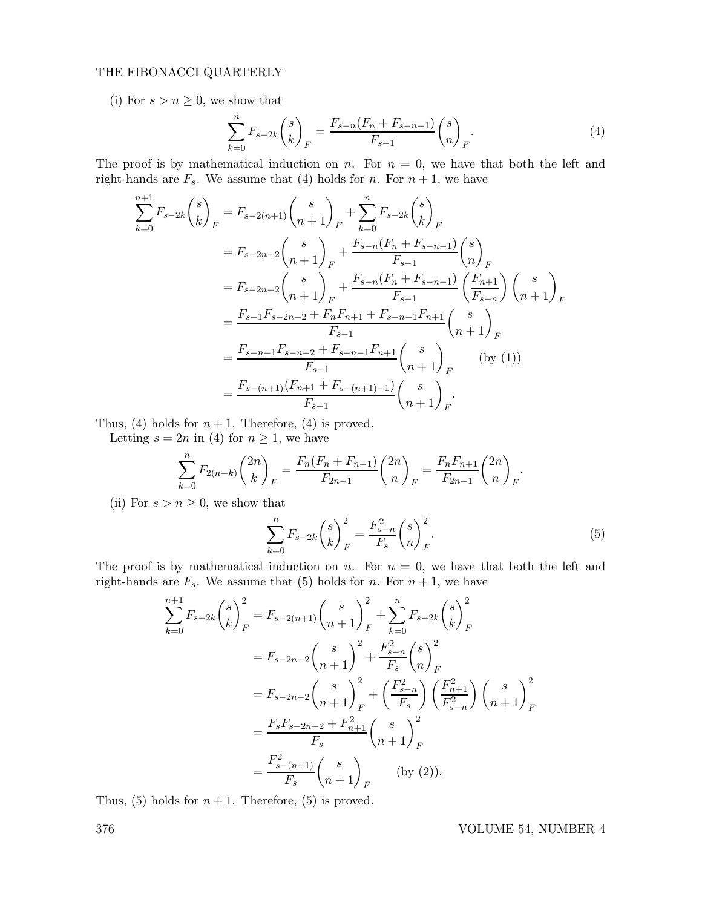## THE FIBONACCI QUARTERLY

(i) For  $s > n \geq 0$ , we show that

$$
\sum_{k=0}^{n} F_{s-2k} {s \choose k}_{F} = \frac{F_{s-n}(F_n + F_{s-n-1})}{F_{s-1}} {s \choose n}_{F}.
$$
\n(4)

The proof is by mathematical induction on n. For  $n = 0$ , we have that both the left and right-hands are  $F_s$ . We assume that (4) holds for *n*. For  $n + 1$ , we have

$$
\sum_{k=0}^{n+1} F_{s-2k} {s \choose k}_{F} = F_{s-2(n+1)} {s \choose n+1}_{F} + \sum_{k=0}^{n} F_{s-2k} {s \choose k}_{F}
$$
  
\n
$$
= F_{s-2n-2} {s \choose n+1}_{F} + \frac{F_{s-n}(F_{n} + F_{s-n-1})}{F_{s-1}} {s \choose n}_{F}
$$
  
\n
$$
= F_{s-2n-2} {s \choose n+1}_{F} + \frac{F_{s-n}(F_{n} + F_{s-n-1})}{F_{s-1}} {F_{n+1} \choose F_{s-n}} {s \choose n+1}_{F}
$$
  
\n
$$
= \frac{F_{s-1}F_{s-2n-2} + F_{n}F_{n+1} + F_{s-n-1}F_{n+1}}{F_{s-1}} {s \choose n+1}_{F}
$$
  
\n
$$
= \frac{F_{s-n-1}F_{s-n-2} + F_{s-n-1}F_{n+1}}{F_{s-1}} {s \choose n+1}_{F}
$$
 (by (1))  
\n
$$
= \frac{F_{s-(n+1)}(F_{n+1} + F_{s-(n+1)-1})}{F_{s-1}} {s \choose n+1}_{F}
$$

Thus, (4) holds for  $n + 1$ . Therefore, (4) is proved.

Letting  $s = 2n$  in (4) for  $n \geq 1$ , we have

$$
\sum_{k=0}^{n} F_{2(n-k)} \binom{2n}{k}_{F} = \frac{F_n(F_n + F_{n-1})}{F_{2n-1}} \binom{2n}{n}_{F} = \frac{F_n F_{n+1}}{F_{2n-1}} \binom{2n}{n}_{F}.
$$

(ii) For  $s > n \geq 0$ , we show that

$$
\sum_{k=0}^{n} F_{s-2k} \binom{s}{k}_{F}^{2} = \frac{F_{s-n}^{2}}{F_{s}} \binom{s}{n}_{F}^{2}.
$$
\n(5)

The proof is by mathematical induction on n. For  $n = 0$ , we have that both the left and right-hands are  $F_s$ . We assume that (5) holds for n. For  $n + 1$ , we have

$$
\sum_{k=0}^{n+1} F_{s-2k} {s \choose k}_{F}^{2} = F_{s-2(n+1)} {s \choose n+1}_{F}^{2} + \sum_{k=0}^{n} F_{s-2k} {s \choose k}_{F}^{2}
$$

$$
= F_{s-2n-2} {s \choose n+1}_{F}^{2} + \frac{F_{s-n}^{2}}{F_{s}} {s \choose n}_{F}^{2}
$$

$$
= F_{s-2n-2} {s \choose n+1}_{F}^{2} + \left(\frac{F_{s-n}^{2}}{F_{s}}\right) \left(\frac{F_{n+1}^{2}}{F_{s-n}^{2}}\right) {s \choose n+1}_{F}
$$

$$
= \frac{F_{s}F_{s-2n-2} + F_{n+1}^{2}}{F_{s}} {s \choose n+1}_{F}
$$

$$
= \frac{F_{s}^{2} - (n+1)}{F_{s}} {s \choose n+1}_{F} \qquad \text{(by (2)).}
$$

Thus, (5) holds for  $n + 1$ . Therefore, (5) is proved.

376 VOLUME 54, NUMBER 4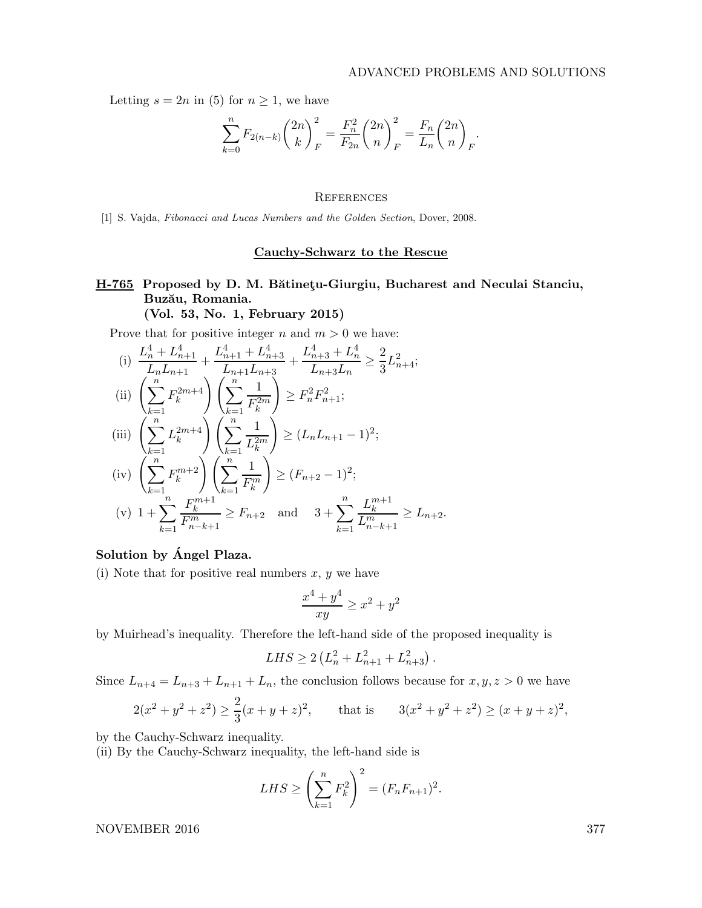Letting  $s = 2n$  in (5) for  $n \geq 1$ , we have

$$
\sum_{k=0}^{n} F_{2(n-k)} \binom{2n}{k}_{F}^{2} = \frac{F_{n}^{2}}{F_{2n}} \binom{2n}{n}_{F}^{2} = \frac{F_{n}}{L_{n}} \binom{2n}{n}_{F}.
$$

### **REFERENCES**

[1] S. Vajda, Fibonacci and Lucas Numbers and the Golden Section, Dover, 2008.

### Cauchy-Schwarz to the Rescue

# H-765 Proposed by D. M. Bătinetu-Giurgiu, Bucharest and Neculai Stanciu, Buzău, Romania. (Vol. 53, No. 1, February 2015)

Prove that for positive integer n and  $m > 0$  we have:

(i) 
$$
\frac{L_n^4 + L_{n+1}^4}{L_n L_{n+1}} + \frac{L_{n+1}^4 + L_{n+3}^4}{L_{n+1} L_{n+3}} + \frac{L_{n+3}^4 + L_n^4}{L_{n+3} L_n} \ge \frac{2}{3} L_{n+4}^2;
$$
  
\n(ii) 
$$
\left(\sum_{k=1}^n F_k^{2m+4}\right) \left(\sum_{k=1}^n \frac{1}{F_k^{2m}}\right) \ge F_n^2 F_{n+1}^2;
$$
  
\n(iii) 
$$
\left(\sum_{k=1}^n L_k^{2m+4}\right) \left(\sum_{k=1}^n \frac{1}{L_k^{2m}}\right) \ge (L_n L_{n+1} - 1)^2;
$$
  
\n(iv) 
$$
\left(\sum_{k=1}^n F_k^{m+2}\right) \left(\sum_{k=1}^n \frac{1}{F_k^m}\right) \ge (F_{n+2} - 1)^2;
$$
  
\n(v) 
$$
1 + \sum_{k=1}^n \frac{F_k^{m+1}}{F_{n-k+1}^m} \ge F_{n+2} \text{ and } 3 + \sum_{k=1}^n \frac{L_k^{m+1}}{L_{n-k+1}^m} \ge L_{n+2}.
$$

## Solution by Angel Plaza.

(i) Note that for positive real numbers  $x, y$  we have

$$
\frac{x^4 + y^4}{xy} \ge x^2 + y^2
$$

by Muirhead's inequality. Therefore the left-hand side of the proposed inequality is

$$
LHS \ge 2\left(L_n^2 + L_{n+1}^2 + L_{n+3}^2\right).
$$

Since  $L_{n+4} = L_{n+3} + L_{n+1} + L_n$ , the conclusion follows because for  $x, y, z > 0$  we have

$$
2(x^2 + y^2 + z^2) \ge \frac{2}{3}(x + y + z)^2
$$
, that is  $3(x^2 + y^2 + z^2) \ge (x + y + z)^2$ ,

by the Cauchy-Schwarz inequality.

(ii) By the Cauchy-Schwarz inequality, the left-hand side is

$$
LHS \ge \left(\sum_{k=1}^{n} F_k^2\right)^2 = (F_n F_{n+1})^2.
$$

NOVEMBER 2016 377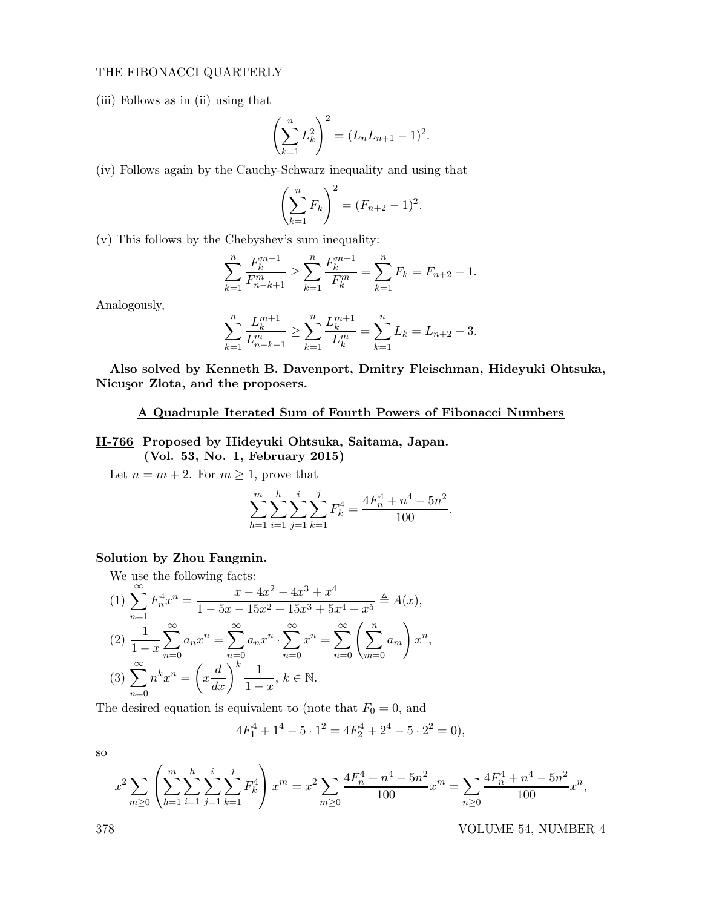## THE FIBONACCI QUARTERLY

(iii) Follows as in (ii) using that

$$
\left(\sum_{k=1}^n L_k^2\right)^2 = (L_n L_{n+1} - 1)^2.
$$

(iv) Follows again by the Cauchy-Schwarz inequality and using that

$$
\left(\sum_{k=1}^n F_k\right)^2 = (F_{n+2} - 1)^2.
$$

(v) This follows by the Chebyshev's sum inequality:

$$
\sum_{k=1}^{n} \frac{F_k^{m+1}}{F_{n-k+1}^m} \ge \sum_{k=1}^{n} \frac{F_k^{m+1}}{F_k^m} = \sum_{k=1}^{n} F_k = F_{n+2} - 1.
$$

Analogously,

$$
\sum_{k=1}^{n} \frac{L_k^{m+1}}{L_{n-k+1}^m} \ge \sum_{k=1}^{n} \frac{L_k^{m+1}}{L_k^m} = \sum_{k=1}^{n} L_k = L_{n+2} - 3.
$$

Also solved by Kenneth B. Davenport, Dmitry Fleischman, Hideyuki Ohtsuka, Nicusor Zlota, and the proposers.

## A Quadruple Iterated Sum of Fourth Powers of Fibonacci Numbers

H-766 Proposed by Hideyuki Ohtsuka, Saitama, Japan.

(Vol. 53, No. 1, February 2015)

Let  $n = m + 2$ . For  $m \ge 1$ , prove that

$$
\sum_{h=1}^{m} \sum_{i=1}^{h} \sum_{j=1}^{i} \sum_{k=1}^{j} F_k^4 = \frac{4F_n^4 + n^4 - 5n^2}{100}
$$

.

## Solution by Zhou Fangmin.

We use the following facts:

(1) 
$$
\sum_{n=1}^{\infty} F_n^4 x^n = \frac{x - 4x^2 - 4x^3 + x^4}{1 - 5x - 15x^2 + 15x^3 + 5x^4 - x^5} \stackrel{\triangle}{=} A(x),
$$
  
\n(2) 
$$
\frac{1}{1 - x} \sum_{n=0}^{\infty} a_n x^n = \sum_{n=0}^{\infty} a_n x^n \cdot \sum_{n=0}^{\infty} x^n = \sum_{n=0}^{\infty} \left( \sum_{m=0}^n a_m \right) x^n,
$$
  
\n(3) 
$$
\sum_{n=0}^{\infty} n^k x^n = \left( x \frac{d}{dx} \right)^k \frac{1}{1 - x}, \ k \in \mathbb{N}.
$$

The desired equation is equivalent to (note that  $F_0 = 0$ , and

$$
4F_1^4 + 1^4 - 5 \cdot 1^2 = 4F_2^4 + 2^4 - 5 \cdot 2^2 = 0,
$$

so

$$
x^{2} \sum_{m\geq 0} \left( \sum_{h=1}^{m} \sum_{i=1}^{h} \sum_{j=1}^{i} \sum_{k=1}^{j} F_{k}^{4} \right) x^{m} = x^{2} \sum_{m\geq 0} \frac{4F_{n}^{4} + n^{4} - 5n^{2}}{100} x^{m} = \sum_{n\geq 0} \frac{4F_{n}^{4} + n^{4} - 5n^{2}}{100} x^{n},
$$

378 VOLUME 54, NUMBER 4